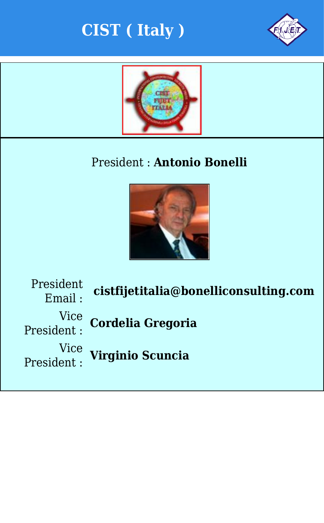



#### President : **Antonio Bonelli**



President Vice Vice

Email : **cistfijetitalia@bonelliconsulting.com**

President : **Cordelia Gregoria**

President : **Virginio Scuncia**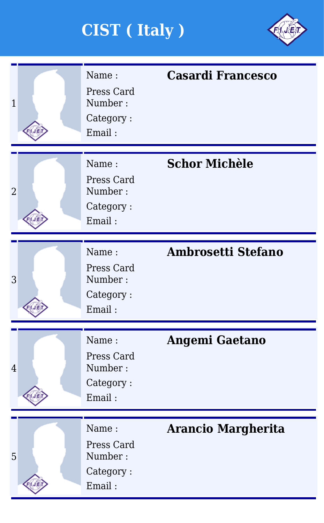

| $\overline{1}$ | Name:<br>Press Card<br>Number:<br>Category:<br>Email: | <b>Casardi Francesco</b>  |
|----------------|-------------------------------------------------------|---------------------------|
| $\overline{2}$ | Name:<br>Press Card<br>Number:<br>Category:<br>Email: | <b>Schor Michèle</b>      |
| 3              | Name:<br>Press Card<br>Number:<br>Category:<br>Email: | <b>Ambrosetti Stefano</b> |
| $\overline{4}$ | Name:<br>Press Card<br>Number:<br>Category:<br>Email: | <b>Angemi Gaetano</b>     |
| 5              | Name:<br>Press Card<br>Number:<br>Category:<br>Email: | <b>Arancio Margherita</b> |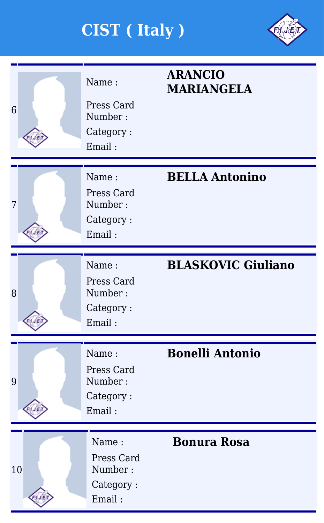

| 6  |  | Name:<br>Press Card<br>Number:<br>Category:<br>Email: | <b>ARANCIO</b><br><b>MARIANGELA</b> |  |  |  |
|----|--|-------------------------------------------------------|-------------------------------------|--|--|--|
|    |  |                                                       |                                     |  |  |  |
| 7  |  | Name:<br>Press Card<br>Number:<br>Category:<br>Email: | <b>BELLA Antonino</b>               |  |  |  |
|    |  |                                                       |                                     |  |  |  |
| 8  |  | Name:<br>Press Card<br>Number:<br>Category:<br>Email: | <b>BLASKOVIC Giuliano</b>           |  |  |  |
|    |  |                                                       |                                     |  |  |  |
| 9  |  | Name:<br>Press Card<br>Number:<br>Category:<br>Email: | <b>Bonelli Antonio</b>              |  |  |  |
|    |  |                                                       |                                     |  |  |  |
| 10 |  | Name:<br>Press Card<br>Number:<br>Category:<br>Email: | <b>Bonura Rosa</b>                  |  |  |  |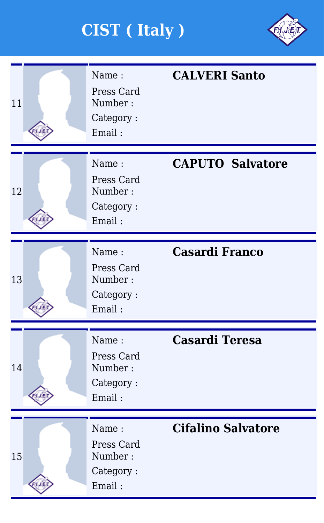

| 11 | Name:<br>Press Card<br>Number:<br>Category:<br>Email: | <b>CALVERI Santo</b>      |
|----|-------------------------------------------------------|---------------------------|
| 12 | Name:<br>Press Card<br>Number:<br>Category:<br>Email: | <b>CAPUTO Salvatore</b>   |
| 13 | Name:<br>Press Card<br>Number:<br>Category:<br>Email: | <b>Casardi Franco</b>     |
| 14 | Name:<br>Press Card<br>Number:<br>Category:<br>Email: | <b>Casardi Teresa</b>     |
| 15 | Name:<br>Press Card<br>Number:<br>Category:<br>Email: | <b>Cifalino Salvatore</b> |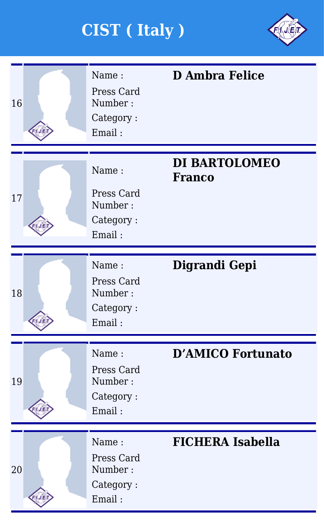

| 16 | Name:<br>Press Card<br>Number:<br>Category:<br>Email: | <b>D</b> Ambra Felice                 |
|----|-------------------------------------------------------|---------------------------------------|
| 17 | Name:<br>Press Card<br>Number:<br>Category:<br>Email: | <b>DI BARTOLOMEO</b><br><b>Franco</b> |
| 18 | Name:<br>Press Card<br>Number:<br>Category:<br>Email: | Digrandi Gepi                         |
| 19 | Name:<br>Press Card<br>Number:<br>Category:<br>Email: | <b>D'AMICO Fortunato</b>              |
| 20 | Name:<br>Press Card<br>Number:<br>Category:<br>Email: | <b>FICHERA Isabella</b>               |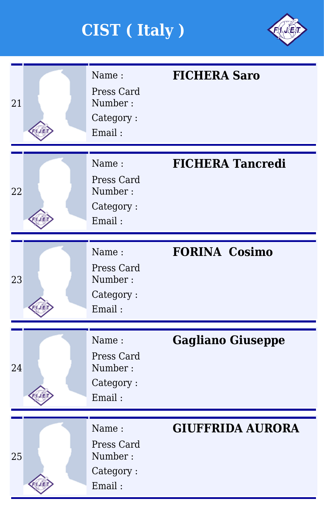

| 21 | Name:<br>Press Card<br>Number:<br>Category:<br>Email: | <b>FICHERA Saro</b>      |
|----|-------------------------------------------------------|--------------------------|
| 22 | Name:<br>Press Card<br>Number:<br>Category:<br>Email: | <b>FICHERA Tancredi</b>  |
| 23 | Name:<br>Press Card<br>Number:<br>Category:<br>Email: | <b>FORINA Cosimo</b>     |
| 24 | Name:<br>Press Card<br>Number:<br>Category:<br>Email: | <b>Gagliano Giuseppe</b> |
| 25 | Name:<br>Press Card<br>Number:<br>Category:<br>Email: | <b>GIUFFRIDA AURORA</b>  |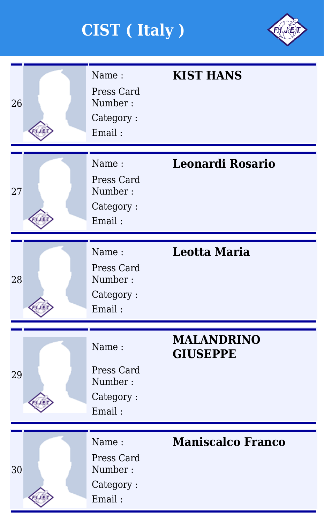

| 26 | Name:<br>Press Card<br>Number:<br>Category:<br>Email: | <b>KIST HANS</b>                     |
|----|-------------------------------------------------------|--------------------------------------|
| 27 | Name:<br>Press Card<br>Number:<br>Category:<br>Email: | <b>Leonardi Rosario</b>              |
| 28 | Name:<br>Press Card<br>Number:<br>Category:<br>Email: | <b>Leotta Maria</b>                  |
| 29 | Name:<br>Press Card<br>Number:<br>Category:<br>Email: | <b>MALANDRINO</b><br><b>GIUSEPPE</b> |
| 30 | Name:<br>Press Card<br>Number:<br>Category:<br>Email: | <b>Maniscalco Franco</b>             |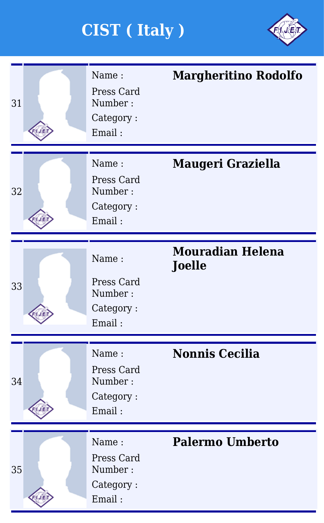

| 31 | Name:<br>Press Card<br>Number:<br>Category:<br>Email: | <b>Margheritino Rodolfo</b>              |
|----|-------------------------------------------------------|------------------------------------------|
| 32 | Name:<br>Press Card<br>Number:<br>Category:<br>Email: | <b>Maugeri Graziella</b>                 |
| 33 | Name:<br>Press Card<br>Number:<br>Category:<br>Email: | <b>Mouradian Helena</b><br><b>Joelle</b> |
| 34 | Name:<br>Press Card<br>Number:<br>Category:<br>Email: | <b>Nonnis Cecilia</b>                    |
| 35 | Name:<br>Press Card<br>Number:<br>Category:<br>Email: | <b>Palermo Umberto</b>                   |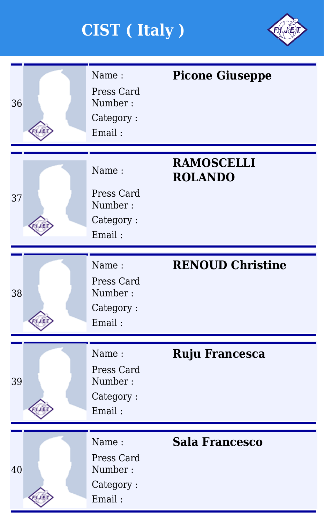

|    | Name:<br>Press Card                                   | <b>Picone Giuseppe</b>              |
|----|-------------------------------------------------------|-------------------------------------|
| 36 | Number:<br>Category:<br>Email:                        |                                     |
| 37 | Name:<br>Press Card<br>Number:<br>Category:<br>Email: | <b>RAMOSCELLI</b><br><b>ROLANDO</b> |
| 38 | Name:<br>Press Card<br>Number:<br>Category:<br>Email: | <b>RENOUD Christine</b>             |
| 39 | Name:<br>Press Card<br>Number:<br>Category:<br>Email: | <b>Ruju Francesca</b>               |
| 40 | Name:<br>Press Card<br>Number:<br>Category:<br>Email: | <b>Sala Francesco</b>               |